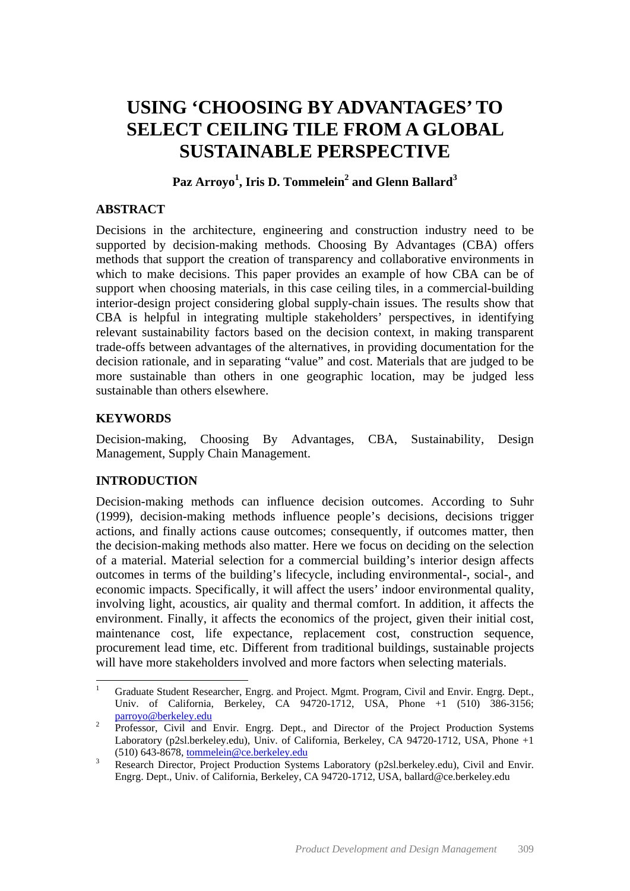# **USING 'CHOOSING BY ADVANTAGES' TO SELECT CEILING TILE FROM A GLOBAL SUSTAINABLE PERSPECTIVE**

# **Paz Arroyo<sup>1</sup> , Iris D. Tommelein2 and Glenn Ballard<sup>3</sup>**

#### **ABSTRACT**

Decisions in the architecture, engineering and construction industry need to be supported by decision-making methods. Choosing By Advantages (CBA) offers methods that support the creation of transparency and collaborative environments in which to make decisions. This paper provides an example of how CBA can be of support when choosing materials, in this case ceiling tiles, in a commercial-building interior-design project considering global supply-chain issues. The results show that CBA is helpful in integrating multiple stakeholders' perspectives, in identifying relevant sustainability factors based on the decision context, in making transparent trade-offs between advantages of the alternatives, in providing documentation for the decision rationale, and in separating "value" and cost. Materials that are judged to be more sustainable than others in one geographic location, may be judged less sustainable than others elsewhere.

## **KEYWORDS**

Decision-making, Choosing By Advantages, CBA, Sustainability, Design Management, Supply Chain Management.

## **INTRODUCTION**

Decision-making methods can influence decision outcomes. According to Suhr (1999), decision-making methods influence people's decisions, decisions trigger actions, and finally actions cause outcomes; consequently, if outcomes matter, then the decision-making methods also matter. Here we focus on deciding on the selection of a material. Material selection for a commercial building's interior design affects outcomes in terms of the building's lifecycle, including environmental-, social-, and economic impacts. Specifically, it will affect the users' indoor environmental quality, involving light, acoustics, air quality and thermal comfort. In addition, it affects the environment. Finally, it affects the economics of the project, given their initial cost, maintenance cost, life expectance, replacement cost, construction sequence, procurement lead time, etc. Different from traditional buildings, sustainable projects will have more stakeholders involved and more factors when selecting materials.

 $\frac{1}{1}$  Graduate Student Researcher, Engrg. and Project. Mgmt. Program, Civil and Envir. Engrg. Dept., Univ. of California, Berkeley, CA 94720-1712, USA, Phone +1 (510) 386-3156; parroyo@berkeley.edu

Professor, Civil and Envir. Engrg. Dept., and Director of the Project Production Systems Laboratory (p2sl.berkeley.edu), Univ. of California, Berkeley, CA 94720-1712, USA, Phone +1 (510) 643-8678, tommelein@ce.berkeley.edu <sup>3</sup>

Research Director, Project Production Systems Laboratory (p2sl.berkeley.edu), Civil and Envir. Engrg. Dept., Univ. of California, Berkeley, CA 94720-1712, USA, ballard@ce.berkeley.edu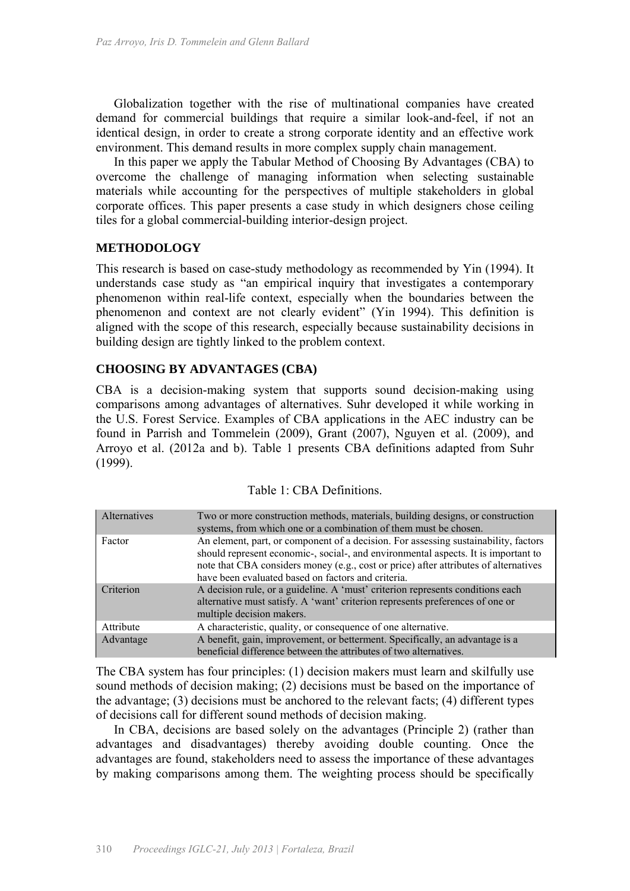Globalization together with the rise of multinational companies have created demand for commercial buildings that require a similar look-and-feel, if not an identical design, in order to create a strong corporate identity and an effective work environment. This demand results in more complex supply chain management.

In this paper we apply the Tabular Method of Choosing By Advantages (CBA) to overcome the challenge of managing information when selecting sustainable materials while accounting for the perspectives of multiple stakeholders in global corporate offices. This paper presents a case study in which designers chose ceiling tiles for a global commercial-building interior-design project.

#### **METHODOLOGY**

This research is based on case-study methodology as recommended by Yin (1994). It understands case study as "an empirical inquiry that investigates a contemporary phenomenon within real-life context, especially when the boundaries between the phenomenon and context are not clearly evident" (Yin 1994). This definition is aligned with the scope of this research, especially because sustainability decisions in building design are tightly linked to the problem context.

#### **CHOOSING BY ADVANTAGES (CBA)**

CBA is a decision-making system that supports sound decision-making using comparisons among advantages of alternatives. Suhr developed it while working in the U.S. Forest Service. Examples of CBA applications in the AEC industry can be found in Parrish and Tommelein (2009), Grant (2007), Nguyen et al. (2009), and Arroyo et al. (2012a and b). Table 1 presents CBA definitions adapted from Suhr (1999).

| Alternatives | Two or more construction methods, materials, building designs, or construction<br>systems, from which one or a combination of them must be chosen.                                                                                                                                                                      |
|--------------|-------------------------------------------------------------------------------------------------------------------------------------------------------------------------------------------------------------------------------------------------------------------------------------------------------------------------|
| Factor       | An element, part, or component of a decision. For assessing sustainability, factors<br>should represent economic-, social-, and environmental aspects. It is important to<br>note that CBA considers money (e.g., cost or price) after attributes of alternatives<br>have been evaluated based on factors and criteria. |
| Criterion    | A decision rule, or a guideline. A 'must' criterion represents conditions each<br>alternative must satisfy. A 'want' criterion represents preferences of one or<br>multiple decision makers.                                                                                                                            |
| Attribute    | A characteristic, quality, or consequence of one alternative.                                                                                                                                                                                                                                                           |
| Advantage    | A benefit, gain, improvement, or betterment. Specifically, an advantage is a<br>beneficial difference between the attributes of two alternatives.                                                                                                                                                                       |

The CBA system has four principles: (1) decision makers must learn and skilfully use sound methods of decision making; (2) decisions must be based on the importance of the advantage; (3) decisions must be anchored to the relevant facts; (4) different types of decisions call for different sound methods of decision making.

In CBA, decisions are based solely on the advantages (Principle 2) (rather than advantages and disadvantages) thereby avoiding double counting. Once the advantages are found, stakeholders need to assess the importance of these advantages by making comparisons among them. The weighting process should be specifically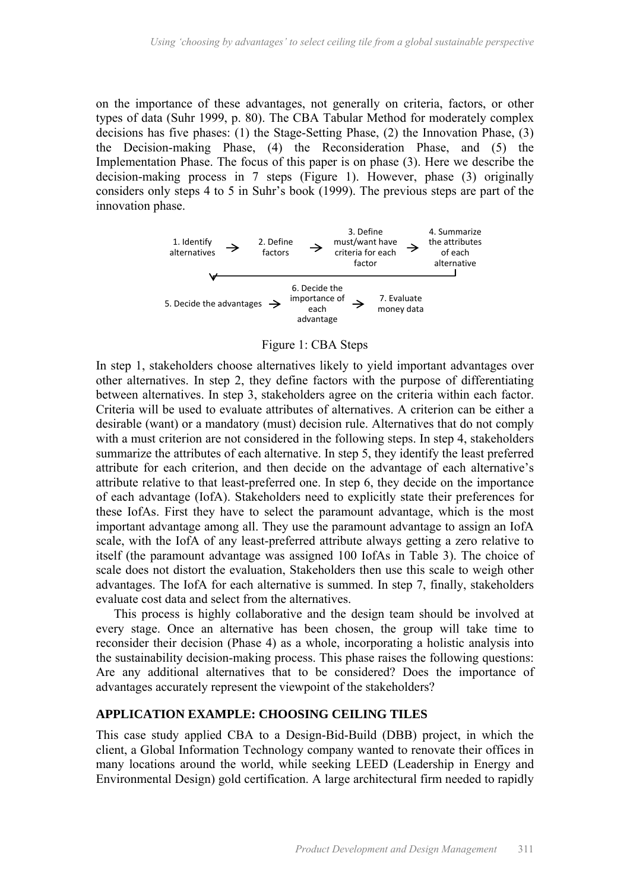on the importance of these advantages, not generally on criteria, factors, or other types of data (Suhr 1999, p. 80). The CBA Tabular Method for moderately complex decisions has five phases: (1) the Stage-Setting Phase, (2) the Innovation Phase, (3) the Decision-making Phase, (4) the Reconsideration Phase, and (5) the Implementation Phase. The focus of this paper is on phase (3). Here we describe the decision-making process in 7 steps (Figure 1). However, phase (3) originally considers only steps 4 to 5 in Suhr's book (1999). The previous steps are part of the innovation phase.



Figure 1: CBA Steps

In step 1, stakeholders choose alternatives likely to yield important advantages over other alternatives. In step 2, they define factors with the purpose of differentiating between alternatives. In step 3, stakeholders agree on the criteria within each factor. Criteria will be used to evaluate attributes of alternatives. A criterion can be either a desirable (want) or a mandatory (must) decision rule. Alternatives that do not comply with a must criterion are not considered in the following steps. In step 4, stakeholders summarize the attributes of each alternative. In step 5, they identify the least preferred attribute for each criterion, and then decide on the advantage of each alternative's attribute relative to that least-preferred one. In step 6, they decide on the importance of each advantage (IofA). Stakeholders need to explicitly state their preferences for these IofAs. First they have to select the paramount advantage, which is the most important advantage among all. They use the paramount advantage to assign an IofA scale, with the IofA of any least-preferred attribute always getting a zero relative to itself (the paramount advantage was assigned 100 IofAs in Table 3). The choice of scale does not distort the evaluation, Stakeholders then use this scale to weigh other advantages. The IofA for each alternative is summed. In step 7, finally, stakeholders evaluate cost data and select from the alternatives.

This process is highly collaborative and the design team should be involved at every stage. Once an alternative has been chosen, the group will take time to reconsider their decision (Phase 4) as a whole, incorporating a holistic analysis into the sustainability decision-making process. This phase raises the following questions: Are any additional alternatives that to be considered? Does the importance of advantages accurately represent the viewpoint of the stakeholders?

#### **APPLICATION EXAMPLE: CHOOSING CEILING TILES**

This case study applied CBA to a Design-Bid-Build (DBB) project, in which the client, a Global Information Technology company wanted to renovate their offices in many locations around the world, while seeking LEED (Leadership in Energy and Environmental Design) gold certification. A large architectural firm needed to rapidly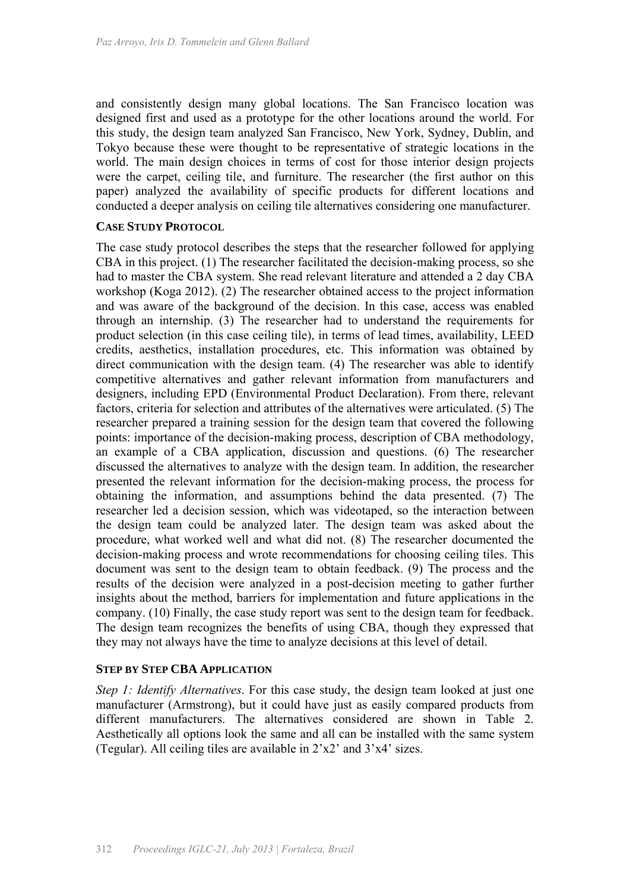and consistently design many global locations. The San Francisco location was designed first and used as a prototype for the other locations around the world. For this study, the design team analyzed San Francisco, New York, Sydney, Dublin, and Tokyo because these were thought to be representative of strategic locations in the world. The main design choices in terms of cost for those interior design projects were the carpet, ceiling tile, and furniture. The researcher (the first author on this paper) analyzed the availability of specific products for different locations and conducted a deeper analysis on ceiling tile alternatives considering one manufacturer.

#### **CASE STUDY PROTOCOL**

The case study protocol describes the steps that the researcher followed for applying CBA in this project. (1) The researcher facilitated the decision-making process, so she had to master the CBA system. She read relevant literature and attended a 2 day CBA workshop (Koga 2012). (2) The researcher obtained access to the project information and was aware of the background of the decision. In this case, access was enabled through an internship. (3) The researcher had to understand the requirements for product selection (in this case ceiling tile), in terms of lead times, availability, LEED credits, aesthetics, installation procedures, etc. This information was obtained by direct communication with the design team. (4) The researcher was able to identify competitive alternatives and gather relevant information from manufacturers and designers, including EPD (Environmental Product Declaration). From there, relevant factors, criteria for selection and attributes of the alternatives were articulated. (5) The researcher prepared a training session for the design team that covered the following points: importance of the decision-making process, description of CBA methodology, an example of a CBA application, discussion and questions. (6) The researcher discussed the alternatives to analyze with the design team. In addition, the researcher presented the relevant information for the decision-making process, the process for obtaining the information, and assumptions behind the data presented. (7) The researcher led a decision session, which was videotaped, so the interaction between the design team could be analyzed later. The design team was asked about the procedure, what worked well and what did not. (8) The researcher documented the decision-making process and wrote recommendations for choosing ceiling tiles. This document was sent to the design team to obtain feedback. (9) The process and the results of the decision were analyzed in a post-decision meeting to gather further insights about the method, barriers for implementation and future applications in the company. (10) Finally, the case study report was sent to the design team for feedback. The design team recognizes the benefits of using CBA, though they expressed that they may not always have the time to analyze decisions at this level of detail.

#### **STEP BY STEP CBA APPLICATION**

*Step 1: Identify Alternatives*. For this case study, the design team looked at just one manufacturer (Armstrong), but it could have just as easily compared products from different manufacturers. The alternatives considered are shown in Table 2. Aesthetically all options look the same and all can be installed with the same system (Tegular). All ceiling tiles are available in  $2'x2'$  and  $3'x4'$  sizes.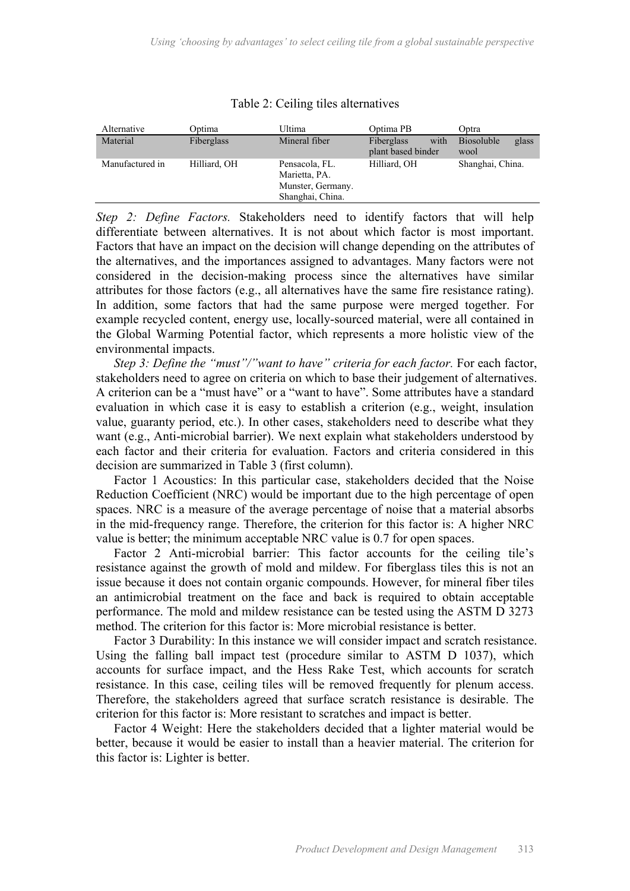| Alternative     | Optima       | Ultima                                                                   | Optima PB                                | Optra                              |
|-----------------|--------------|--------------------------------------------------------------------------|------------------------------------------|------------------------------------|
| Material        | Fiberglass   | Mineral fiber                                                            | with<br>Fiberglass<br>plant based binder | glass<br><b>Biosoluble</b><br>wool |
| Manufactured in | Hilliard, OH | Pensacola, FL.<br>Marietta, PA.<br>Munster, Germany.<br>Shanghai, China. | Hilliard, OH                             | Shanghai, China.                   |

#### Table 2: Ceiling tiles alternatives

*Step 2: Define Factors.* Stakeholders need to identify factors that will help differentiate between alternatives. It is not about which factor is most important. Factors that have an impact on the decision will change depending on the attributes of the alternatives, and the importances assigned to advantages. Many factors were not considered in the decision-making process since the alternatives have similar attributes for those factors (e.g., all alternatives have the same fire resistance rating). In addition, some factors that had the same purpose were merged together. For example recycled content, energy use, locally-sourced material, were all contained in the Global Warming Potential factor, which represents a more holistic view of the environmental impacts.

*Step 3: Define the "must"/"want to have" criteria for each factor.* For each factor, stakeholders need to agree on criteria on which to base their judgement of alternatives. A criterion can be a "must have" or a "want to have". Some attributes have a standard evaluation in which case it is easy to establish a criterion (e.g., weight, insulation value, guaranty period, etc.). In other cases, stakeholders need to describe what they want (e.g., Anti-microbial barrier). We next explain what stakeholders understood by each factor and their criteria for evaluation. Factors and criteria considered in this decision are summarized in Table 3 (first column).

Factor 1 Acoustics: In this particular case, stakeholders decided that the Noise Reduction Coefficient (NRC) would be important due to the high percentage of open spaces. NRC is a measure of the average percentage of noise that a material absorbs in the mid-frequency range. Therefore, the criterion for this factor is: A higher NRC value is better; the minimum acceptable NRC value is 0.7 for open spaces.

Factor 2 Anti-microbial barrier: This factor accounts for the ceiling tile's resistance against the growth of mold and mildew. For fiberglass tiles this is not an issue because it does not contain organic compounds. However, for mineral fiber tiles an antimicrobial treatment on the face and back is required to obtain acceptable performance. The mold and mildew resistance can be tested using the ASTM D 3273 method. The criterion for this factor is: More microbial resistance is better.

Factor 3 Durability: In this instance we will consider impact and scratch resistance. Using the falling ball impact test (procedure similar to ASTM D 1037), which accounts for surface impact, and the Hess Rake Test, which accounts for scratch resistance. In this case, ceiling tiles will be removed frequently for plenum access. Therefore, the stakeholders agreed that surface scratch resistance is desirable. The criterion for this factor is: More resistant to scratches and impact is better.

Factor 4 Weight: Here the stakeholders decided that a lighter material would be better, because it would be easier to install than a heavier material. The criterion for this factor is: Lighter is better.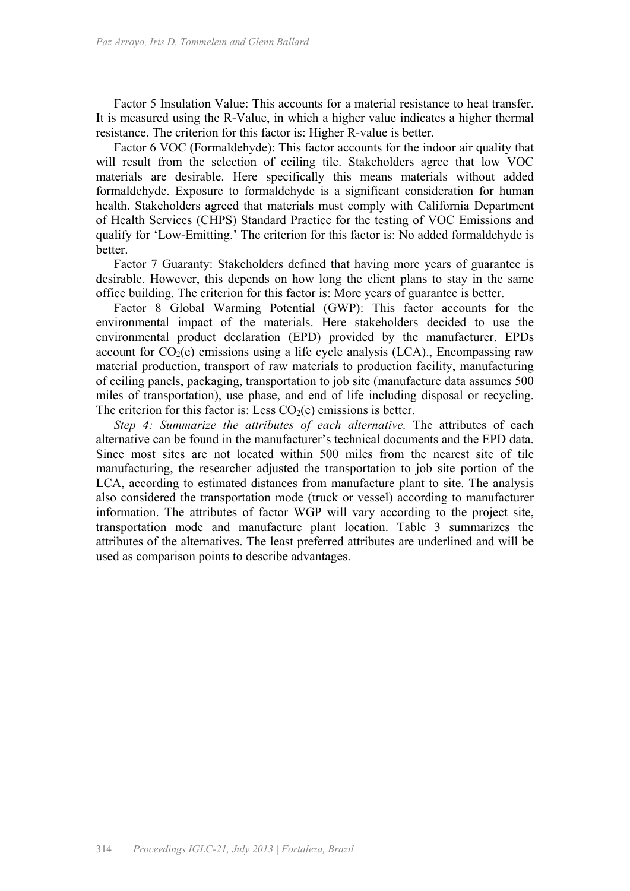Factor 5 Insulation Value: This accounts for a material resistance to heat transfer. It is measured using the R-Value, in which a higher value indicates a higher thermal resistance. The criterion for this factor is: Higher R-value is better.

Factor 6 VOC (Formaldehyde): This factor accounts for the indoor air quality that will result from the selection of ceiling tile. Stakeholders agree that low VOC materials are desirable. Here specifically this means materials without added formaldehyde. Exposure to formaldehyde is a significant consideration for human health. Stakeholders agreed that materials must comply with California Department of Health Services (CHPS) Standard Practice for the testing of VOC Emissions and qualify for 'Low-Emitting.' The criterion for this factor is: No added formaldehyde is better.

Factor 7 Guaranty: Stakeholders defined that having more years of guarantee is desirable. However, this depends on how long the client plans to stay in the same office building. The criterion for this factor is: More years of guarantee is better.

Factor 8 Global Warming Potential (GWP): This factor accounts for the environmental impact of the materials. Here stakeholders decided to use the environmental product declaration (EPD) provided by the manufacturer. EPDs account for  $CO<sub>2</sub>(e)$  emissions using a life cycle analysis (LCA)., Encompassing raw material production, transport of raw materials to production facility, manufacturing of ceiling panels, packaging, transportation to job site (manufacture data assumes 500 miles of transportation), use phase, and end of life including disposal or recycling. The criterion for this factor is: Less  $CO<sub>2</sub>(e)$  emissions is better.

*Step 4: Summarize the attributes of each alternative. The attributes of each* alternative can be found in the manufacturer's technical documents and the EPD data. Since most sites are not located within 500 miles from the nearest site of tile manufacturing, the researcher adjusted the transportation to job site portion of the LCA, according to estimated distances from manufacture plant to site. The analysis also considered the transportation mode (truck or vessel) according to manufacturer information. The attributes of factor WGP will vary according to the project site, transportation mode and manufacture plant location. Table 3 summarizes the attributes of the alternatives. The least preferred attributes are underlined and will be used as comparison points to describe advantages.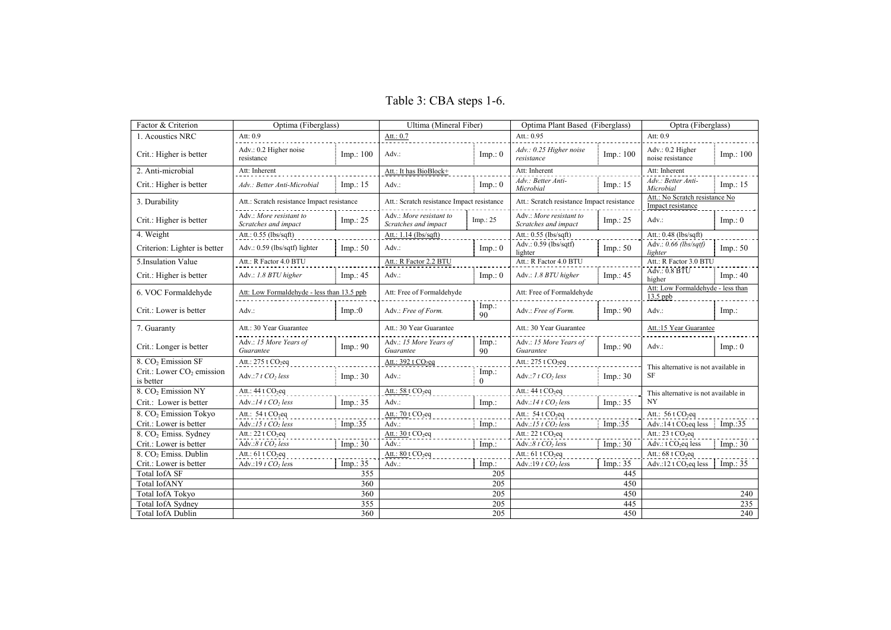Table 3: CBA steps 1-6.

| Factor & Criterion                                 | Optima (Fiberglass)                             |            | Ultima (Mineral Fiber)                          |                      | Optima Plant Based (Fiberglass)                 |            | Optra (Fiberglass)                                  |            |
|----------------------------------------------------|-------------------------------------------------|------------|-------------------------------------------------|----------------------|-------------------------------------------------|------------|-----------------------------------------------------|------------|
| 1. Acoustics NRC                                   | Att: 0.9                                        |            | Att.: $0.7$                                     |                      | Att.: $0.95$                                    |            | Att: 0.9                                            |            |
| Crit.: Higher is better                            | Adv.: 0.2 Higher noise<br>resistance            | Imp.: 100  | $Adv.$ :                                        | Imp.: 0              | Adv.: 0.25 Higher noise<br>resistance           | Imp.: 100  | Adv.: 0.2 Higher<br>noise resistance                | Imp.: 100  |
| 2. Anti-microbial                                  | Att: Inherent                                   |            | Att.: It has BioBlock+                          |                      | Att: Inherent                                   |            | Att: Inherent                                       |            |
| Crit.: Higher is better                            | Adv.: Better Anti-Microbial                     | Imp.: 15   | Adv:                                            | Imp.: 0              | Adv.: Better Anti-<br>Microbial                 | Imp.: 15   | Adv.: Better Anti-<br>Microbial                     | Imp.: 15   |
| 3. Durability                                      | Att.: Scratch resistance Impact resistance      |            | Att.: Scratch resistance Impact resistance      |                      | Att.: Scratch resistance Impact resistance      |            | Att.: No Scratch resistance No<br>Impact resistance |            |
| Crit.: Higher is better                            | Adv.: More resistant to<br>Scratches and impact | Imp.: 25   | Adv.: More resistant to<br>Scratches and impact | Imp.: 25             | Adv.: More resistant to<br>Scratches and impact | Imp.: $25$ | $Adv.$ :                                            | Imp.: 0    |
| 4. Weight                                          | Att.: $0.55$ (lbs/sqft)                         |            | Att.: 1.14 (lbs/sqft)                           |                      | Att.: $0.55$ (lbs/sqft)                         |            | Att.: 0.48 (lbs/sqft)                               |            |
| Criterion: Lighter is better                       | Adv.: 0.59 (lbs/sqtf) lighter                   | Imp.: 50   | Adv.:                                           | Imp.: 0              | Adv.: 0.59 (lbs/sqtf)<br>lighter                | Imp.: 50   | Adv.: 0.66 (lbs/sqtf)<br>lighter                    | Imp.: $50$ |
| 5. Insulation Value                                | Att.: R Factor 4.0 BTU                          |            | Att.: R Factor 2.2 BTU                          |                      | Att.: R Factor 4.0 BTU                          |            | Att.: R Factor 3.0 BTU                              |            |
| Crit.: Higher is better                            | Adv.: 1.8 BTU higher                            | Imp.: $45$ | Adv:                                            | Imp.: 0              | Adv.: 1.8 BTU higher                            | Imp.: 45   | Adv: 0.8 BTU<br>higher                              | Imp.: $40$ |
| 6. VOC Formaldehyde                                | Att: Low Formaldehyde - less than 13.5 ppb      |            | Att: Free of Formaldehyde                       |                      | Att: Free of Formaldehyde                       |            | Att: Low Formaldehyde - less than<br>$13.5$ ppb     |            |
| Crit.: Lower is better                             | $Adv.$ :                                        | Imp.:0     | Adv.: Free of Form.                             | Imp.:<br>90          | Adv.: Free of Form.                             | Imp.: 90   | $Adv.$ :                                            | Imp.       |
| 7. Guaranty                                        | Att.: 30 Year Guarantee                         |            | Att.: 30 Year Guarantee                         |                      | Att.: 30 Year Guarantee                         |            | Att.:15 Year Guarantee                              |            |
| Crit.: Longer is better                            | Adv.: 15 More Years of<br>Guarantee             | Imp.: 90   | Adv.: 15 More Years of<br>Guarantee             | Imp.<br>90           | Adv.: 15 More Years of<br>Guarantee             | Imp.: 90   | Adv.                                                | Imp.: 0    |
| 8. CO <sub>2</sub> Emission SF                     | Att.: 275 t CO <sub>2</sub> eq                  |            | Att.: 392 t CO <sub>2</sub> eq                  |                      | Att.: 275 t CO <sub>2</sub> eq                  |            |                                                     |            |
| Crit.: Lower CO <sub>2</sub> emission<br>is better | Adv.: $7tCO$ , less                             | Imp.: 30   | Adv.:                                           | $Imp.$ :<br>$\Omega$ | Adv.: $7 t CO2 less$                            | Imp.: 30   | This alternative is not available in<br>SF          |            |
| 8. CO <sub>2</sub> Emission NY                     | Att.: $44$ t $CO2$ eq                           |            | Att.: $58 \text{ t } CO_2$ eq                   |                      | Att.: $44$ t $CO2$ eq                           |            | This alternative is not available in                |            |
| Crit.: Lower is better                             | Adv.:14 t CO <sub>2</sub> less                  | Imp.: 35   | Adv:                                            | $Imp.$ :             | Adv.:14 t CO <sub>2</sub> less                  | Imp.: 35   | NY                                                  |            |
| 8. CO <sub>2</sub> Emission Tokyo                  | Att.: $54$ t CO <sub>2</sub> eq                 |            | Att.: 70 t CO <sub>2</sub> eq                   |                      | Att.: $54$ t CO <sub>2</sub> eq                 |            | Att.: $56$ t $CO_2$ eq                              |            |
| Crit.: Lower is better                             | Adv.:15 t CO <sub>2</sub> less                  | Imp.:35    | $Adv.$ :                                        | $Imp.$ :             | Adv.:15 $t$ CO <sub>2</sub> less                | Imp.:35    | Adv.:14 t $CO2$ eq less                             | Imp.:35    |
| 8. CO <sub>2</sub> Emiss. Sydney                   | Att.: $22$ t $CO2$ eq                           |            | Att.: $30$ t $CO_2$ eq                          |                      | Att.: 22 t CO <sub>2</sub> eq                   |            | Att.: $23$ t $CO2$ eq                               |            |
| Crit.: Lower is better                             | Adv.:8 $t CO2$ less                             | Imp.: 30   | Adv.:                                           | $Imp.$ :             | Adv.:8 $t CO2$ less                             | Imp.: 30   | Adv.: t CO <sub>2</sub> eq less                     | Imp.: $30$ |
| 8. CO <sub>2</sub> Emiss. Dublin                   | Att.: 61 t CO <sub>2</sub> eq                   |            | Att.: $80$ t $CO_2$ eq                          |                      | Att.: $61$ t $CO$ <sub>2</sub> eq               |            | Att.: 68 t CO <sub>2</sub> eq                       |            |
| Crit.: Lower is better                             | Adv.:19 $t$ CO <sub>2</sub> less                | Imp.: 35   | Adv.:                                           | $Imp.$ :             | Adv.:19 $t$ CO <sub>2</sub> less                | Imp.: 35   | Adv.:12 t CO <sub>2</sub> eq less                   | Imp.: 35   |
| <b>Total IofA SF</b>                               |                                                 | 355        |                                                 | 205                  |                                                 | 445        |                                                     |            |
| <b>Total IofANY</b>                                | 360                                             |            |                                                 | 205                  | 450                                             |            |                                                     |            |
| <b>Total IofA Tokvo</b>                            | 360                                             |            | 205                                             |                      | 450                                             |            | 240                                                 |            |
| Total IofA Sydney                                  | 355                                             |            |                                                 | 205                  | 445                                             |            | 235                                                 |            |
| <b>Total IofA Dublin</b>                           | 360                                             |            | 205                                             |                      | 450                                             |            | 240                                                 |            |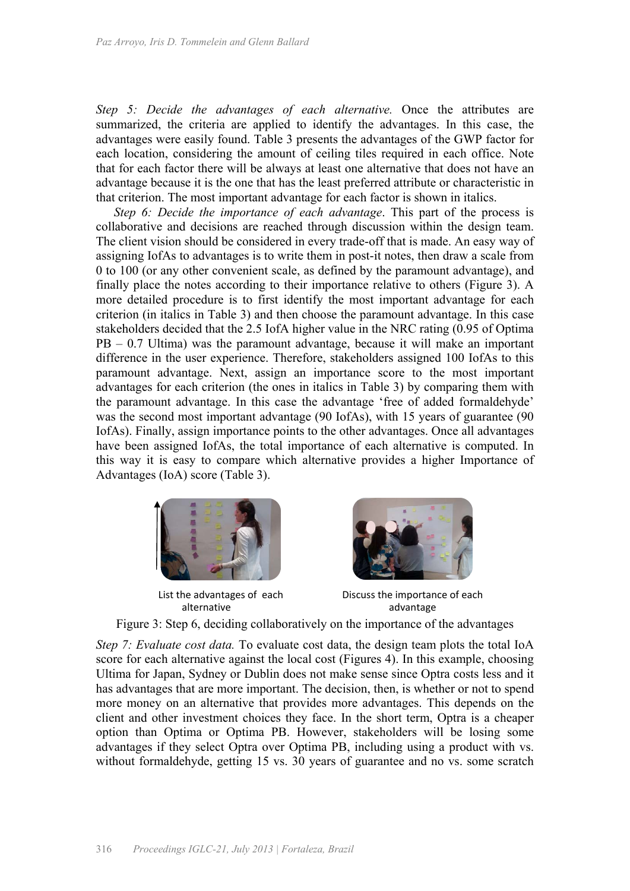*Step 5: Decide the advantages of each alternative.* Once the attributes are summarized, the criteria are applied to identify the advantages. In this case, the advantages were easily found. Table 3 presents the advantages of the GWP factor for each location, considering the amount of ceiling tiles required in each office. Note that for each factor there will be always at least one alternative that does not have an advantage because it is the one that has the least preferred attribute or characteristic in that criterion. The most important advantage for each factor is shown in italics.

*Step 6: Decide the importance of each advantage*. This part of the process is collaborative and decisions are reached through discussion within the design team. The client vision should be considered in every trade-off that is made. An easy way of assigning IofAs to advantages is to write them in post-it notes, then draw a scale from 0 to 100 (or any other convenient scale, as defined by the paramount advantage), and finally place the notes according to their importance relative to others (Figure 3). A more detailed procedure is to first identify the most important advantage for each criterion (in italics in Table 3) and then choose the paramount advantage. In this case stakeholders decided that the 2.5 IofA higher value in the NRC rating (0.95 of Optima PB – 0.7 Ultima) was the paramount advantage, because it will make an important difference in the user experience. Therefore, stakeholders assigned 100 IofAs to this paramount advantage. Next, assign an importance score to the most important advantages for each criterion (the ones in italics in Table 3) by comparing them with the paramount advantage. In this case the advantage 'free of added formaldehyde' was the second most important advantage (90 IofAs), with 15 years of guarantee (90 IofAs). Finally, assign importance points to the other advantages. Once all advantages have been assigned IofAs, the total importance of each alternative is computed. In this way it is easy to compare which alternative provides a higher Importance of Advantages (IoA) score (Table 3).



List the advantages of each alternative



Discuss the importance of each advantage



*Step 7: Evaluate cost data.* To evaluate cost data, the design team plots the total IoA score for each alternative against the local cost (Figures 4). In this example, choosing Ultima for Japan, Sydney or Dublin does not make sense since Optra costs less and it has advantages that are more important. The decision, then, is whether or not to spend more money on an alternative that provides more advantages. This depends on the client and other investment choices they face. In the short term, Optra is a cheaper option than Optima or Optima PB. However, stakeholders will be losing some advantages if they select Optra over Optima PB, including using a product with vs. without formaldehyde, getting 15 vs. 30 years of guarantee and no vs. some scratch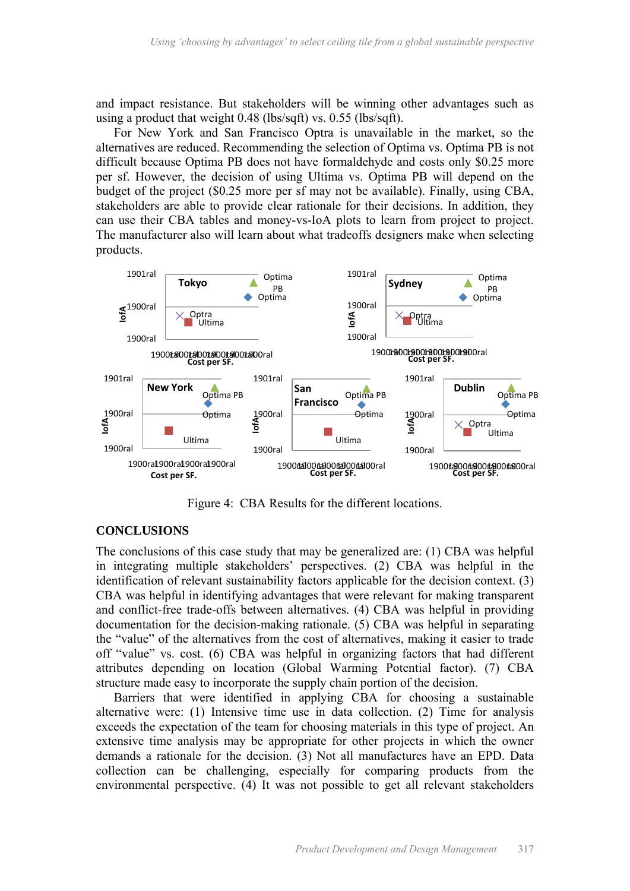and impact resistance. But stakeholders will be winning other advantages such as using a product that weight 0.48 (lbs/sqft) vs. 0.55 (lbs/sqft).

For New York and San Francisco Optra is unavailable in the market, so the alternatives are reduced. Recommending the selection of Optima vs. Optima PB is not difficult because Optima PB does not have formaldehyde and costs only \$0.25 more per sf. However, the decision of using Ultima vs. Optima PB will depend on the budget of the project (\$0.25 more per sf may not be available). Finally, using CBA, stakeholders are able to provide clear rationale for their decisions. In addition, they can use their CBA tables and money-vs-IoA plots to learn from project to project. The manufacturer also will learn about what tradeoffs designers make when selecting products.



Figure 4: CBA Results for the different locations.

#### **CONCLUSIONS**

The conclusions of this case study that may be generalized are: (1) CBA was helpful in integrating multiple stakeholders' perspectives. (2) CBA was helpful in the identification of relevant sustainability factors applicable for the decision context. (3) CBA was helpful in identifying advantages that were relevant for making transparent and conflict-free trade-offs between alternatives. (4) CBA was helpful in providing documentation for the decision-making rationale. (5) CBA was helpful in separating the "value" of the alternatives from the cost of alternatives, making it easier to trade off "value" vs. cost. (6) CBA was helpful in organizing factors that had different attributes depending on location (Global Warming Potential factor). (7) CBA structure made easy to incorporate the supply chain portion of the decision.

Barriers that were identified in applying CBA for choosing a sustainable alternative were: (1) Intensive time use in data collection. (2) Time for analysis exceeds the expectation of the team for choosing materials in this type of project. An extensive time analysis may be appropriate for other projects in which the owner demands a rationale for the decision. (3) Not all manufactures have an EPD. Data collection can be challenging, especially for comparing products from the environmental perspective. (4) It was not possible to get all relevant stakeholders